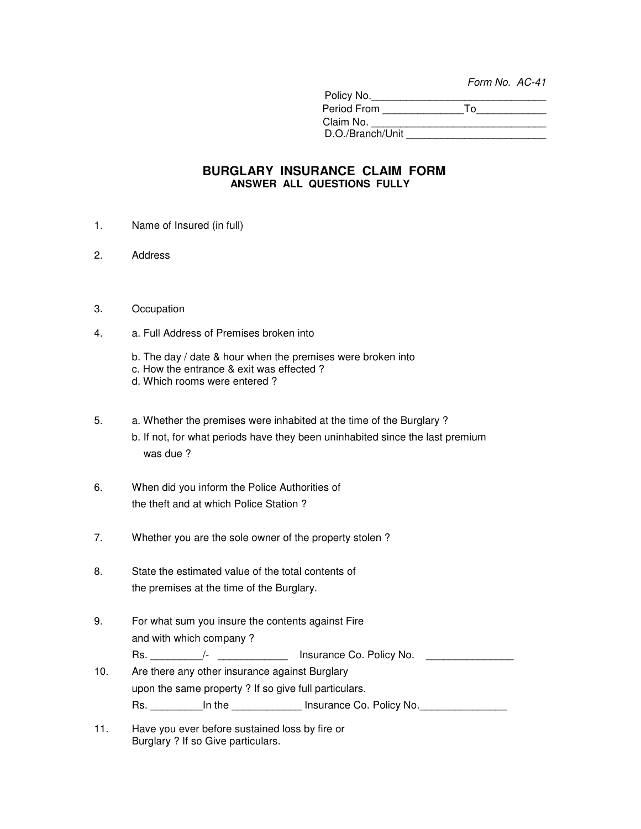Form No. AC-41

| Policy No.       |    |
|------------------|----|
| Period From      | Т٥ |
| Claim No.        |    |
| D.O./Branch/Unit |    |

## **BURGLARY INSURANCE CLAIM FORM ANSWER ALL QUESTIONS FULLY**

- 1. Name of Insured (in full)
- 2. Address
- 3. Occupation
- 4. a. Full Address of Premises broken into
	- b. The day / date & hour when the premises were broken into
	- c. How the entrance & exit was effected ?
	- d. Which rooms were entered ?
- 5. a. Whether the premises were inhabited at the time of the Burglary ? b. If not, for what periods have they been uninhabited since the last premium was due ?
- 6. When did you inform the Police Authorities of the theft and at which Police Station ?
- 7. Whether you are the sole owner of the property stolen ?
- 8. State the estimated value of the total contents of the premises at the time of the Burglary.
- 9. For what sum you insure the contents against Fire and with which company ?

Rs. \_\_\_\_\_\_\_\_\_/- \_\_\_\_\_\_\_\_\_\_\_\_ Insurance Co. Policy No. \_\_\_\_\_\_\_\_\_\_\_\_\_\_\_

10. Are there any other insurance against Burglary upon the same property ? If so give full particulars.

| . . | Policy No.    |
|-----|---------------|
| ື   | Insurance Co. |

11. Have you ever before sustained loss by fire or Burglary ? If so Give particulars.